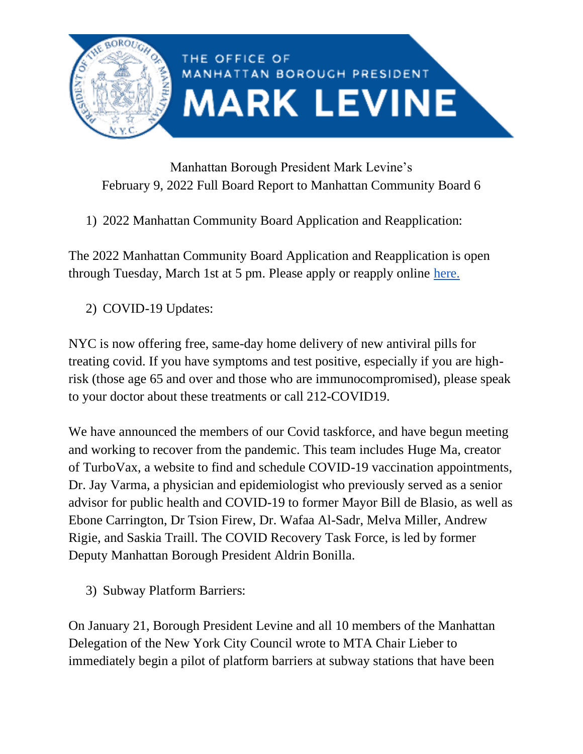

## Manhattan Borough President Mark Levine's February 9, 2022 Full Board Report to Manhattan Community Board 6

1) 2022 Manhattan Community Board Application and Reapplication:

The 2022 Manhattan Community Board Application and Reapplication is open through Tuesday, March 1st at 5 pm. Please apply or reapply online [here.](https://manhattancommunityboards.wufoo.com/forms/p2a2s130qjma1g/)

2) COVID-19 Updates:

NYC is now offering free, same-day home delivery of new antiviral pills for treating covid. If you have symptoms and test positive, especially if you are highrisk (those age 65 and over and those who are immunocompromised), please speak to your doctor about these treatments or call 212-COVID19.

We have announced the members of our Covid taskforce, and have begun meeting and working to recover from the pandemic. This team includes Huge Ma, creator of TurboVax, a website to find and schedule COVID-19 vaccination appointments, Dr. Jay Varma, a physician and epidemiologist who previously served as a senior advisor for public health and COVID-19 to former Mayor Bill de Blasio, as well as Ebone Carrington, Dr Tsion Firew, Dr. Wafaa Al-Sadr, Melva Miller, Andrew Rigie, and Saskia Traill. The COVID Recovery Task Force, is led by former Deputy Manhattan Borough President Aldrin Bonilla.

3) Subway Platform Barriers:

On January 21, Borough President Levine and all 10 members of the Manhattan Delegation of the New York City Council wrote to MTA Chair Lieber to immediately begin a pilot of platform barriers at subway stations that have been